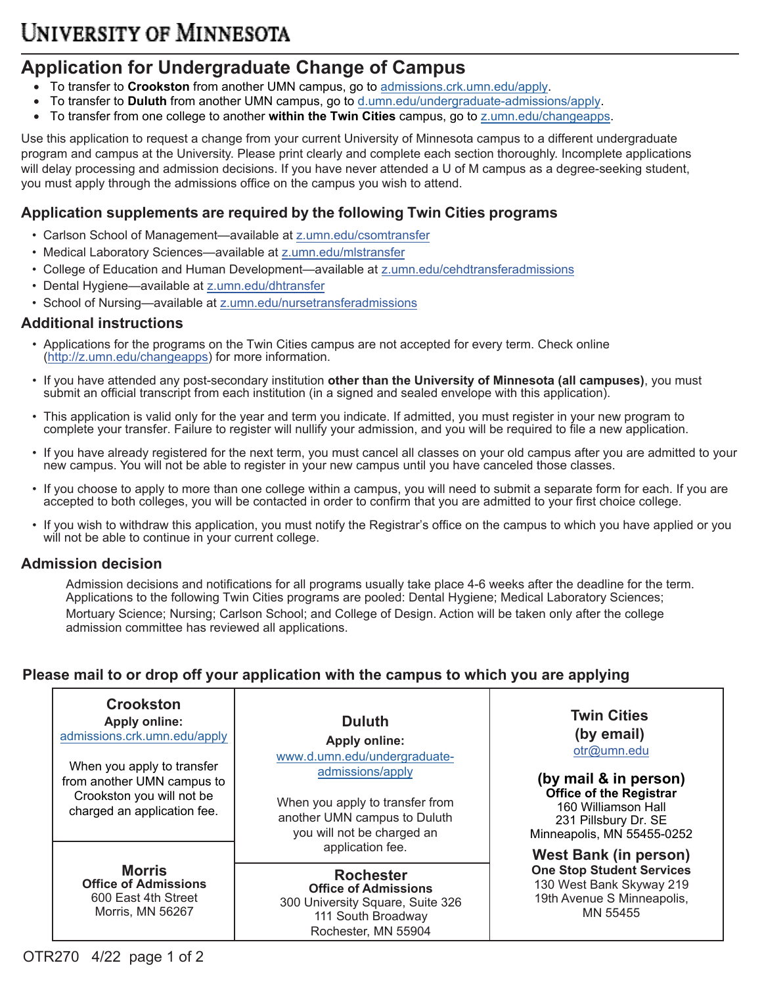# **UNIVERSITY OF MINNESOTA**

# **Application for Undergraduate Change of Campus**

- To transfer to **Crookston** from another UMN campus, go to [admissions.crk.umn.edu/apply.](https://admissions.crk.umn.edu/apply/)
- To transfer to **Duluth** from another UMN campus, go to [d.umn.edu/undergraduate-admissions/apply.](http://www.d.umn.edu/undergraduate-admissions/apply)
- To transfer from one college to another **within the Twin Cities** campus, go t[o z.umn.edu/changeapps.](z.umn.edu/changeapps)

Use this application to request a change from your current University of Minnesota campus to a different undergraduate program and campus at the University. Please print clearly and complete each section thoroughly. Incomplete applications will delay processing and admission decisions. If you have never attended a U of M campus as a degree-seeking student, you must apply through the admissions office on the campus you wish to attend.

### **Application supplements are required by the following Twin Cities programs**

- Carlson School of Management—available at [z.umn.edu/csomtransfer](http://z.umn.edu/csomtransfer)
- Medical Laboratory Sciences—available at [z.umn.edu/mlstransfer](http://z.umn.edu/mlstransfer)
- College of Education and Human Development—available a[t z.umn.edu/cehdtransferadmissions](http://z.umn.edu/cehdtransferadmissions)
- Dental Hygiene—available at [z.umn.edu/dhtransfer](http://z.umn.edu/dhtransfer)
- School of Nursing—available at [z.umn.edu/nursetransferadmissions](http://z.umn.edu/nursetransferadmissions)

#### **Additional instructions**

- Applications for the programs on the Twin Cities campus are not accepted for every term. Check online [\(http://z.umn.edu/changeapps](http://z.umn.edu/changeapps)) for more information.
- If you have attended any post-secondary institution **other than the University of Minnesota (all campuses)**, you must submit an official transcript from each institution (in a signed and sealed envelope with this application).
- This application is valid only for the year and term you indicate. If admitted, you must register in your new program to complete your transfer. Failure to register will nullify your admission, and you will be required to file a new application.
- If you have already registered for the next term, you must cancel all classes on your old campus after you are admitted to your new campus. You will not be able to register in your new campus until you have canceled those classes.
- If you choose to apply to more than one college within a campus, you will need to submit a separate form for each. If you are accepted to both colleges, you will be contacted in order to confirm that you are admitted to your first choice college.
- If you wish to withdraw this application, you must notify the Registrar's office on the campus to which you have applied or you will not be able to continue in your current college.

#### **Admission decision**

Admission decisions and notifications for all programs usually take place 4-6 weeks after the deadline for the term. Applications to the following Twin Cities programs are pooled: Dental Hygiene; Medical Laboratory Sciences; Mortuary Science; Nursing; Carlson School; and College of Design. Action will be taken only after the college admission committee has reviewed all applications.

## **Please mail to or drop off your application with the campus to which you are applying**

|  | <b>Crookston</b><br><b>Apply online:</b><br>admissions.crk.umn.edu/apply<br>When you apply to transfer<br>from another UMN campus to<br>Crookston you will not be<br>charged an application fee. | <b>Duluth</b><br><b>Apply online:</b><br>www.d.umn.edu/undergraduate-<br>admissions/apply<br>When you apply to transfer from<br>another UMN campus to Duluth<br>you will not be charged an | <b>Twin Cities</b><br>(by email)<br>otr@umn.edu<br>(by mail & in person)<br><b>Office of the Registrar</b><br>160 Williamson Hall<br>231 Pillsbury Dr. SE<br>Minneapolis, MN 55455-0252 |  |  |
|--|--------------------------------------------------------------------------------------------------------------------------------------------------------------------------------------------------|--------------------------------------------------------------------------------------------------------------------------------------------------------------------------------------------|-----------------------------------------------------------------------------------------------------------------------------------------------------------------------------------------|--|--|
|  | <b>Morris</b><br><b>Office of Admissions</b><br>600 East 4th Street<br>Morris, MN 56267                                                                                                          | application fee.                                                                                                                                                                           | <b>West Bank (in person)</b>                                                                                                                                                            |  |  |
|  |                                                                                                                                                                                                  | <b>Rochester</b><br><b>Office of Admissions</b><br>300 University Square, Suite 326<br>111 South Broadway<br>Rochester, MN 55904                                                           | <b>One Stop Student Services</b><br>130 West Bank Skyway 219<br>19th Avenue S Minneapolis,<br>MN 55455                                                                                  |  |  |